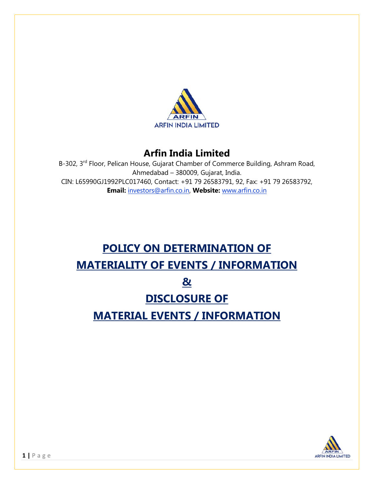

# **Arfin India Limited**

B-302, 3<sup>rd</sup> Floor, Pelican House, Gujarat Chamber of Commerce Building, Ashram Road, Ahmedabad – 380009, Gujarat, India. CIN: L65990GJ1992PLC017460, Contact: +91 79 26583791, 92, Fax: +91 79 26583792, **Email:** investors@arfin.co.in, **Website:** www.arfin.co.in

# **POLICY ON DETERMINATION OF MATERIALITY OF EVENTS / INFORMATION & DISCLOSURE OF MATERIAL EVENTS / INFORMATION**

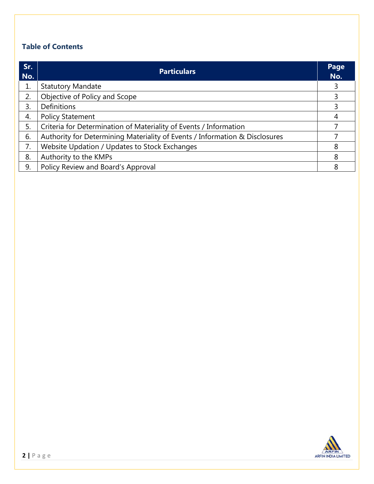## **Table of Contents**

| Sr.<br>No. | <b>Particulars</b>                                                          |   |  |  |
|------------|-----------------------------------------------------------------------------|---|--|--|
| 1.         | <b>Statutory Mandate</b>                                                    | 3 |  |  |
| 2.         | Objective of Policy and Scope                                               | 3 |  |  |
| 3.         | <b>Definitions</b>                                                          | 3 |  |  |
| 4.         | <b>Policy Statement</b>                                                     | 4 |  |  |
| 5.         | Criteria for Determination of Materiality of Events / Information           |   |  |  |
| 6.         | Authority for Determining Materiality of Events / Information & Disclosures |   |  |  |
| 7.         | Website Updation / Updates to Stock Exchanges                               | 8 |  |  |
| 8.         | Authority to the KMPs                                                       | 8 |  |  |
| 9.         | Policy Review and Board's Approval                                          | 8 |  |  |

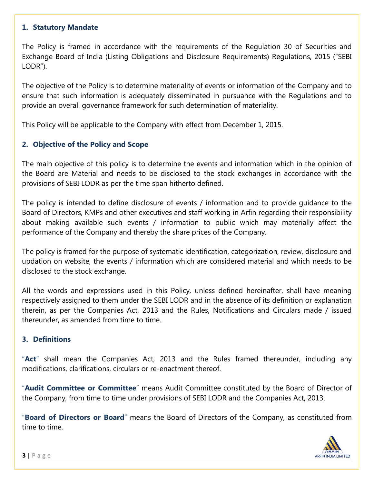#### **1. Statutory Mandate**

The Policy is framed in accordance with the requirements of the Regulation 30 of Securities and Exchange Board of India (Listing Obligations and Disclosure Requirements) Regulations, 2015 ("SEBI LODR").

The objective of the Policy is to determine materiality of events or information of the Company and to ensure that such information is adequately disseminated in pursuance with the Regulations and to provide an overall governance framework for such determination of materiality.

This Policy will be applicable to the Company with effect from December 1, 2015.

#### **2. Objective of the Policy and Scope**

The main objective of this policy is to determine the events and information which in the opinion of the Board are Material and needs to be disclosed to the stock exchanges in accordance with the provisions of SEBI LODR as per the time span hitherto defined.

The policy is intended to define disclosure of events / information and to provide guidance to the Board of Directors, KMPs and other executives and staff working in Arfin regarding their responsibility about making available such events / information to public which may materially affect the performance of the Company and thereby the share prices of the Company.

The policy is framed for the purpose of systematic identification, categorization, review, disclosure and updation on website, the events / information which are considered material and which needs to be disclosed to the stock exchange.

All the words and expressions used in this Policy, unless defined hereinafter, shall have meaning respectively assigned to them under the SEBI LODR and in the absence of its definition or explanation therein, as per the Companies Act, 2013 and the Rules, Notifications and Circulars made / issued thereunder, as amended from time to time.

#### **3. Definitions**

"**Act**" shall mean the Companies Act, 2013 and the Rules framed thereunder, including any modifications, clarifications, circulars or re-enactment thereof.

"**Audit Committee or Committee**" means Audit Committee constituted by the Board of Director of the Company, from time to time under provisions of SEBI LODR and the Companies Act, 2013.

"**Board of Directors or Board**" means the Board of Directors of the Company, as constituted from time to time.

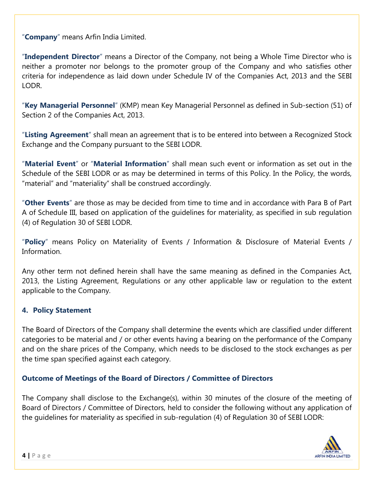"**Company**" means Arfin India Limited.

"**Independent Director**" means a Director of the Company, not being a Whole Time Director who is neither a promoter nor belongs to the promoter group of the Company and who satisfies other criteria for independence as laid down under Schedule IV of the Companies Act, 2013 and the SEBI LODR.

"**Key Managerial Personnel**" (KMP) mean Key Managerial Personnel as defined in Sub-section (51) of Section 2 of the Companies Act, 2013.

"**Listing Agreement**" shall mean an agreement that is to be entered into between a Recognized Stock Exchange and the Company pursuant to the SEBI LODR.

"**Material Event**" or "**Material Information**" shall mean such event or information as set out in the Schedule of the SEBI LODR or as may be determined in terms of this Policy. In the Policy, the words, "material" and "materiality" shall be construed accordingly.

"**Other Events**" are those as may be decided from time to time and in accordance with Para B of Part A of Schedule III, based on application of the guidelines for materiality, as specified in sub regulation (4) of Regulation 30 of SEBI LODR.

"**Policy**" means Policy on Materiality of Events / Information & Disclosure of Material Events / Information.

Any other term not defined herein shall have the same meaning as defined in the Companies Act, 2013, the Listing Agreement, Regulations or any other applicable law or regulation to the extent applicable to the Company.

#### **4. Policy Statement**

The Board of Directors of the Company shall determine the events which are classified under different categories to be material and / or other events having a bearing on the performance of the Company and on the share prices of the Company, which needs to be disclosed to the stock exchanges as per the time span specified against each category.

#### **Outcome of Meetings of the Board of Directors / Committee of Directors**

The Company shall disclose to the Exchange(s), within 30 minutes of the closure of the meeting of Board of Directors / Committee of Directors, held to consider the following without any application of the guidelines for materiality as specified in sub-regulation (4) of Regulation 30 of SEBI LODR:

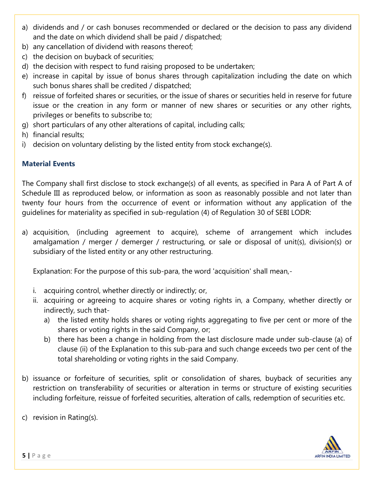- a) dividends and / or cash bonuses recommended or declared or the decision to pass any dividend and the date on which dividend shall be paid / dispatched;
- b) any cancellation of dividend with reasons thereof;
- c) the decision on buyback of securities;
- d) the decision with respect to fund raising proposed to be undertaken;
- e) increase in capital by issue of bonus shares through capitalization including the date on which such bonus shares shall be credited / dispatched;
- f) reissue of forfeited shares or securities, or the issue of shares or securities held in reserve for future issue or the creation in any form or manner of new shares or securities or any other rights, privileges or benefits to subscribe to;
- g) short particulars of any other alterations of capital, including calls;
- h) financial results;
- i) decision on voluntary delisting by the listed entity from stock exchange(s).

#### **Material Events**

The Company shall first disclose to stock exchange(s) of all events, as specified in Para A of Part A of Schedule III as reproduced below, or information as soon as reasonably possible and not later than twenty four hours from the occurrence of event or information without any application of the guidelines for materiality as specified in sub-regulation (4) of Regulation 30 of SEBI LODR:

a) acquisition, (including agreement to acquire), scheme of arrangement which includes amalgamation / merger / demerger / restructuring, or sale or disposal of unit(s), division(s) or subsidiary of the listed entity or any other restructuring.

Explanation: For the purpose of this sub-para, the word 'acquisition' shall mean,-

- i. acquiring control, whether directly or indirectly; or,
- ii. acquiring or agreeing to acquire shares or voting rights in, a Company, whether directly or indirectly, such that
	- a) the listed entity holds shares or voting rights aggregating to five per cent or more of the shares or voting rights in the said Company, or;
	- b) there has been a change in holding from the last disclosure made under sub-clause (a) of clause (ii) of the Explanation to this sub-para and such change exceeds two per cent of the total shareholding or voting rights in the said Company.
- b) issuance or forfeiture of securities, split or consolidation of shares, buyback of securities any restriction on transferability of securities or alteration in terms or structure of existing securities including forfeiture, reissue of forfeited securities, alteration of calls, redemption of securities etc.
- c) revision in Rating(s).

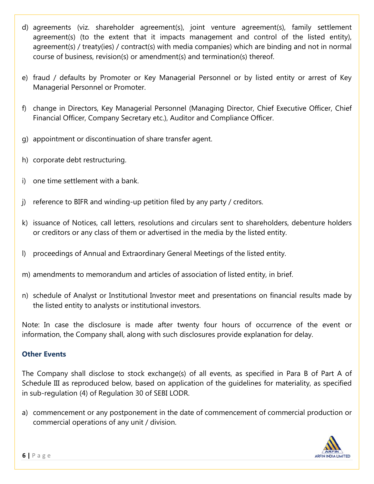- d) agreements (viz. shareholder agreement(s), joint venture agreement(s), family settlement agreement(s) (to the extent that it impacts management and control of the listed entity), agreement(s) / treaty(ies) / contract(s) with media companies) which are binding and not in normal course of business, revision(s) or amendment(s) and termination(s) thereof.
- e) fraud / defaults by Promoter or Key Managerial Personnel or by listed entity or arrest of Key Managerial Personnel or Promoter.
- f) change in Directors, Key Managerial Personnel (Managing Director, Chief Executive Officer, Chief Financial Officer, Company Secretary etc.), Auditor and Compliance Officer.
- g) appointment or discontinuation of share transfer agent.
- h) corporate debt restructuring.
- i) one time settlement with a bank.
- j) reference to BIFR and winding-up petition filed by any party / creditors.
- k) issuance of Notices, call letters, resolutions and circulars sent to shareholders, debenture holders or creditors or any class of them or advertised in the media by the listed entity.
- l) proceedings of Annual and Extraordinary General Meetings of the listed entity.
- m) amendments to memorandum and articles of association of listed entity, in brief.
- n) schedule of Analyst or Institutional Investor meet and presentations on financial results made by the listed entity to analysts or institutional investors.

Note: In case the disclosure is made after twenty four hours of occurrence of the event or information, the Company shall, along with such disclosures provide explanation for delay.

#### **Other Events**

The Company shall disclose to stock exchange(s) of all events, as specified in Para B of Part A of Schedule III as reproduced below, based on application of the guidelines for materiality, as specified in sub-regulation (4) of Regulation 30 of SEBI LODR.

a) commencement or any postponement in the date of commencement of commercial production or commercial operations of any unit / division.

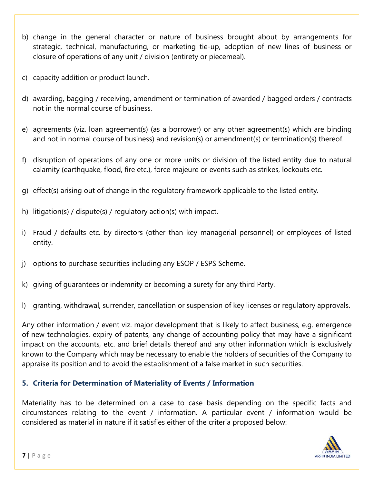- b) change in the general character or nature of business brought about by arrangements for strategic, technical, manufacturing, or marketing tie-up, adoption of new lines of business or closure of operations of any unit / division (entirety or piecemeal).
- c) capacity addition or product launch.
- d) awarding, bagging / receiving, amendment or termination of awarded / bagged orders / contracts not in the normal course of business.
- e) agreements (viz. loan agreement(s) (as a borrower) or any other agreement(s) which are binding and not in normal course of business) and revision(s) or amendment(s) or termination(s) thereof.
- f) disruption of operations of any one or more units or division of the listed entity due to natural calamity (earthquake, flood, fire etc.), force majeure or events such as strikes, lockouts etc.
- g) effect(s) arising out of change in the regulatory framework applicable to the listed entity.
- h) litigation(s) / dispute(s) / regulatory action(s) with impact.
- i) Fraud / defaults etc. by directors (other than key managerial personnel) or employees of listed entity.
- j) options to purchase securities including any ESOP / ESPS Scheme.
- k) giving of guarantees or indemnity or becoming a surety for any third Party.
- l) granting, withdrawal, surrender, cancellation or suspension of key licenses or regulatory approvals.

Any other information / event viz. major development that is likely to affect business, e.g. emergence of new technologies, expiry of patents, any change of accounting policy that may have a significant impact on the accounts, etc. and brief details thereof and any other information which is exclusively known to the Company which may be necessary to enable the holders of securities of the Company to appraise its position and to avoid the establishment of a false market in such securities.

#### **5. Criteria for Determination of Materiality of Events / Information**

Materiality has to be determined on a case to case basis depending on the specific facts and circumstances relating to the event / information. A particular event / information would be considered as material in nature if it satisfies either of the criteria proposed below:

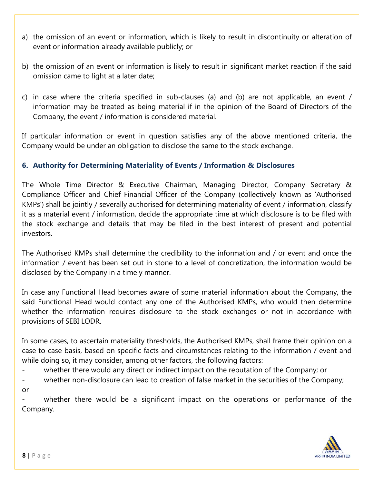- a) the omission of an event or information, which is likely to result in discontinuity or alteration of event or information already available publicly; or
- b) the omission of an event or information is likely to result in significant market reaction if the said omission came to light at a later date;
- c) in case where the criteria specified in sub-clauses (a) and (b) are not applicable, an event / information may be treated as being material if in the opinion of the Board of Directors of the Company, the event / information is considered material.

If particular information or event in question satisfies any of the above mentioned criteria, the Company would be under an obligation to disclose the same to the stock exchange.

### **6. Authority for Determining Materiality of Events / Information & Disclosures**

The Whole Time Director & Executive Chairman, Managing Director, Company Secretary & Compliance Officer and Chief Financial Officer of the Company (collectively known as 'Authorised KMPs') shall be jointly / severally authorised for determining materiality of event / information, classify it as a material event / information, decide the appropriate time at which disclosure is to be filed with the stock exchange and details that may be filed in the best interest of present and potential investors.

The Authorised KMPs shall determine the credibility to the information and / or event and once the information / event has been set out in stone to a level of concretization, the information would be disclosed by the Company in a timely manner.

In case any Functional Head becomes aware of some material information about the Company, the said Functional Head would contact any one of the Authorised KMPs, who would then determine whether the information requires disclosure to the stock exchanges or not in accordance with provisions of SEBI LODR.

In some cases, to ascertain materiality thresholds, the Authorised KMPs, shall frame their opinion on a case to case basis, based on specific facts and circumstances relating to the information / event and while doing so, it may consider, among other factors, the following factors:

- whether there would any direct or indirect impact on the reputation of the Company; or
- whether non-disclosure can lead to creation of false market in the securities of the Company;
- or

whether there would be a significant impact on the operations or performance of the Company.